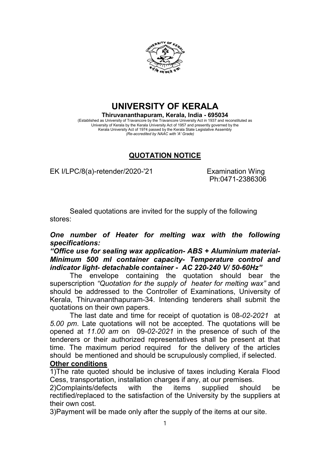

UNIVERSITY OF KERALA

Thiruvananthapuram, Kerala, India - 695034 (Established as University of Travancore by the Travancore University Act in 1937 and reconstituted as University of Kerala by the Kerala University Act of 1957 and presently governed by the Kerala University Act of 1974 passed by the Kerala State Legislative Assembly (Re-accredited by NAAC with 'A' Grade)

## QUOTATION NOTICE

EK I/LPC/8(a)-retender/2020-'21 Examination Wing

Ph:0471-2386306

Sealed quotations are invited for the supply of the following stores:

## One number of Heater for melting wax with the following specifications:

"Office use for sealing wax application- ABS + Aluminium material-Minimum 500 ml container capacity- Temperature control and indicator light- detachable container - AC 220-240 V/ 50-60Hz"

The envelope containing the quotation should bear the superscription "Quotation for the supply of heater for melting wax" and should be addressed to the Controller of Examinations, University of Kerala, Thiruvananthapuram-34. Intending tenderers shall submit the quotations on their own papers.

The last date and time for receipt of quotation is 08-02-2021 at 5.00 pm. Late quotations will not be accepted. The quotations will be opened at 11.00 am on 09-02-2021 in the presence of such of the tenderers or their authorized representatives shall be present at that time. The maximum period required for the delivery of the articles should be mentioned and should be scrupulously complied, if selected.

## Other conditions

1)The rate quoted should be inclusive of taxes including Kerala Flood Cess, transportation, installation charges if any, at our premises.

2)Complaints/defects with the items supplied should be rectified/replaced to the satisfaction of the University by the suppliers at their own cost.

3)Payment will be made only after the supply of the items at our site.